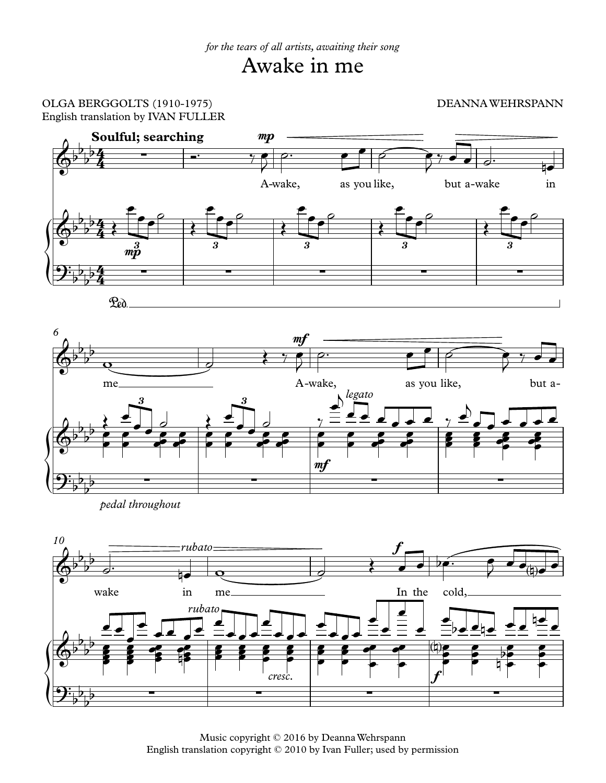## Awake in me

## OLGA BERGGOLTS (1910-1975) DEANNAWEHRSPANN English translation by IVAN FULLER



*pedal throughout*



Music copyright © 2016 by DeannaWehrspann English translation copyright © 2010 by Ivan Fuller; used by permission